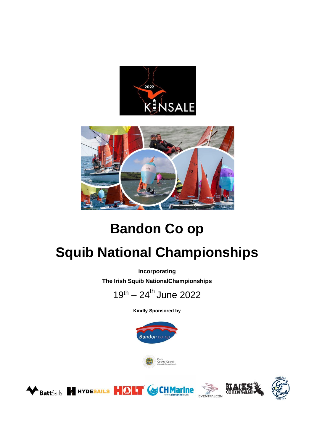



# **Bandon Co op**

# **Squib National Championships**

**incorporating**

**The Irish Squib NationalChampionships**



**Kindly Sponsored by**







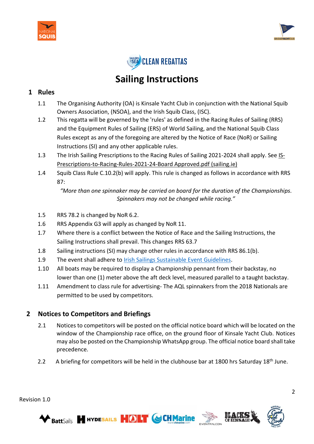





## **Sailing Instructions**

#### **1 Rules**

- 1.1 The Organising Authority (OA) is Kinsale Yacht Club in conjunction with the National Squib Owners Association, (NSOA), and the Irish Squib Class, (ISC).
- 1.2 This regatta will be governed by the 'rules' as defined in the Racing Rules of Sailing (RRS) and the Equipment Rules of Sailing (ERS) of World Sailing, and the National Squib Class Rules except as any of the foregoing are altered by the Notice of Race (NoR) or Sailing Instructions (SI) and any other applicable rules.
- 1.3 The Irish Sailing Prescriptions to the Racing Rules of Sailing 2021-2024 shall apply. See [IS-](https://www.sailing.ie/Portals/0/documents/2020/racing/IS-Prescriptions-to-Racing-Rules-2021-24-Board%20Approved.pdf)[Prescriptions-to-Racing-Rules-2021-24-Board Approved.pdf \(sailing.ie\)](https://www.sailing.ie/Portals/0/documents/2020/racing/IS-Prescriptions-to-Racing-Rules-2021-24-Board%20Approved.pdf)
- 1.4 Squib Class Rule C.10.2(b) will apply. This rule is changed as follows in accordance with RRS 87:

*"More than one spinnaker may be carried on board for the duration of the Championships. Spinnakers may not be changed while racing."*

- 1.5 RRS 78.2 is changed by NoR 6.2.
- 1.6 RRS Appendix G3 will apply as changed by NoR 11.
- 1.7 Where there is a conflict between the Notice of Race and the Sailing Instructions, the Sailing Instructions shall prevail. This changes RRS 63.7
- 1.8 Sailing instructions (SI) may change other rules in accordance with RRS 86.1(b).
- 1.9 The event shall adhere to [Irish Sailings Sustainable Event Guidelines.](https://www.sailing.ie/Cruising/Our-Environment)

**BattSails & HYDESAILS HOLT GCHMarine** 

- 1.10 All boats may be required to display a Championship pennant from their backstay, no lower than one (1) meter above the aft deck level, measured parallel to a taught backstay.
- 1.11 Amendment to class rule for advertising- The AQL spinnakers from the 2018 Nationals are permitted to be used by competitors.

#### **2 Notices to Competitors and Briefings**

- 2.1 Notices to competitors will be posted on the official notice board which will be located on the window of the Championship race office, on the ground floor of Kinsale Yacht Club. Notices may also be posted on the Championship WhatsApp group. The official notice board shall take precedence.
- 2.2 A briefing for competitors will be held in the clubhouse bar at 1800 hrs Saturday 18<sup>th</sup> June.



Revision 1.0

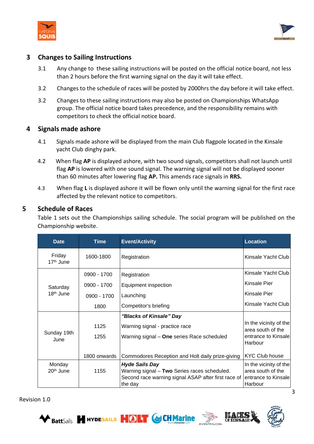



#### **3 Changes to Sailing Instructions**

- 3.1 Any change to these sailing instructions will be posted on the official notice board, not less than 2 hours before the first warning signal on the day it will take effect.
- 3.2 Changes to the schedule of races will be posted by 2000hrs the day before it will take effect.
- 3.2 Changes to these sailing instructions may also be posted on Championships WhatsApp group. The official notice board takes precedence, and the responsibility remains with competitors to check the official notice board.

#### **4 Signals made ashore**

- 4.1 Signals made ashore will be displayed from the main Club flagpole located in the Kinsale yacht Club dinghy park.
- 4.2 When flag **AP** is displayed ashore, with two sound signals, competitors shall not launch until flag **AP** is lowered with one sound signal. The warning signal will not be displayed sooner than 60 minutes after lowering flag **AP.** This amends race signals in **RRS.**
- 4.3 When flag **L** is displayed ashore it will be flown only until the warning signal for the first race affected by the relevant notice to competitors.

#### **5 Schedule of Races**

Table 1 sets out the Championships sailing schedule. The social program will be published on the Championship website.

| <b>Date</b>                       | Time          | <b>Event/Activity</b>                                                                                                                   | <b>Location</b>                                                               |
|-----------------------------------|---------------|-----------------------------------------------------------------------------------------------------------------------------------------|-------------------------------------------------------------------------------|
| Friday<br>17 <sup>th</sup> June   | 1600-1800     | Registration                                                                                                                            | Kinsale Yacht Club                                                            |
| Saturday<br>18 <sup>th</sup> June | 0900 - 1700   | Registration                                                                                                                            | Kinsale Yacht Club                                                            |
|                                   | 0900 - 1700   | Equipment inspection                                                                                                                    | Kinsale Pier                                                                  |
|                                   | $0900 - 1700$ | Launching                                                                                                                               | Kinsale Pier                                                                  |
|                                   | 1800          | Competitor's briefing                                                                                                                   | Kinsale Yacht Club                                                            |
| Sunday 19th<br>June               |               | "Blacks of Kinsale" Day                                                                                                                 |                                                                               |
|                                   | 1125          | Warning signal - practice race                                                                                                          | In the vicinity of the<br>area south of the                                   |
|                                   | 1255          | Warning signal - One series Race scheduled                                                                                              | entrance to Kinsale<br>Harbour                                                |
|                                   | 1800 onwards  | Commodores Reception and Holt daily prize-giving                                                                                        | <b>KYC Club house</b>                                                         |
| Monday<br>$20th$ June             | 1155          | <b>Hyde Sails Day</b><br>Warning signal - Two Series races scheduled.<br>Second race warning signal ASAP after first race of<br>the day | In the vicinity of the<br>area south of the<br>entrance to Kinsale<br>Harbour |

**BattSails & HYDESAILS HOLT GCHMarine** 



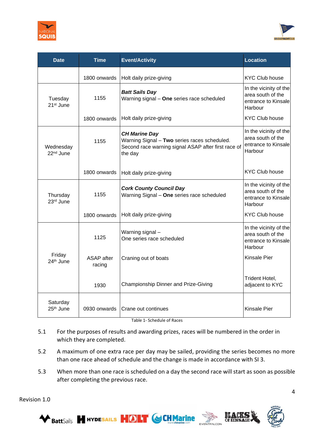



| <b>Date</b>                        | <b>Time</b>                 | <b>Event/Activity</b>                                                                                                                  | <b>Location</b>                                                               |
|------------------------------------|-----------------------------|----------------------------------------------------------------------------------------------------------------------------------------|-------------------------------------------------------------------------------|
|                                    | 1800 onwards                | Holt daily prize-giving                                                                                                                | <b>KYC Club house</b>                                                         |
| Tuesday<br>21 <sup>st</sup> June   | 1155                        | <b>Batt Sails Day</b><br>Warning signal - One series race scheduled                                                                    | In the vicinity of the<br>area south of the<br>entrance to Kinsale<br>Harbour |
|                                    | 1800 onwards                | Holt daily prize-giving                                                                                                                | <b>KYC Club house</b>                                                         |
| Wednesday<br>22 <sup>nd</sup> June | 1155                        | <b>CH Marine Day</b><br>Warning Signal - Two series races scheduled.<br>Second race warning signal ASAP after first race of<br>the day | In the vicinity of the<br>area south of the<br>entrance to Kinsale<br>Harbour |
|                                    | 1800 onwards                | Holt daily prize-giving                                                                                                                | <b>KYC Club house</b>                                                         |
| Thursday<br>23rd June              | 1155                        | <b>Cork County Council Day</b><br>Warning Signal - One series race scheduled                                                           | In the vicinity of the<br>area south of the<br>entrance to Kinsale<br>Harbour |
|                                    | 1800 onwards                | Holt daily prize-giving                                                                                                                | <b>KYC Club house</b>                                                         |
| Friday<br>$24th$ June              | 1125                        | Warning signal-<br>One series race scheduled                                                                                           | In the vicinity of the<br>area south of the<br>entrance to Kinsale<br>Harbour |
|                                    | <b>ASAP</b> after<br>racing | Craning out of boats                                                                                                                   | Kinsale Pier                                                                  |
|                                    | 1930                        | Championship Dinner and Prize-Giving                                                                                                   | Trident Hotel,<br>adjacent to KYC                                             |
| Saturday<br>25 <sup>th</sup> June  | 0930 onwards                | Crane out continues                                                                                                                    | <b>Kinsale Pier</b>                                                           |

Table 1- Schedule of Races

- 5.1 For the purposes of results and awarding prizes, races will be numbered in the order in which they are completed.
- 5.2 A maximum of one extra race per day may be sailed, providing the series becomes no more than one race ahead of schedule and the change is made in accordance with SI 3.
- 5.3 When more than one race is scheduled on a day the second race will start as soon as possible after completing the previous race.





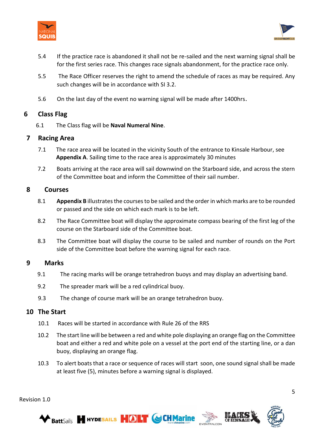



- 5.4 If the practice race is abandoned it shall not be re-sailed and the next warning signal shall be for the first series race. This changes race signals abandonment, for the practice race only.
- 5.5 The Race Officer reserves the right to amend the schedule of races as may be required. Any such changes will be in accordance with SI 3.2.
- 5.6 On the last day of the event no warning signal will be made after 1400hrs.

#### **6 Class Flag**

6.1 The Class flag will be **Naval Numeral Nine**.

#### **7 Racing Area**

- 7.1 The race area will be located in the vicinity South of the entrance to Kinsale Harbour, see **Appendix A**. Sailing time to the race area is approximately 30 minutes
- 7.2 Boats arriving at the race area will sail downwind on the Starboard side, and across the stern of the Committee boat and inform the Committee of their sail number.

#### **8 Courses**

- 8.1 **Appendix B** illustrates the courses to be sailed and the order in which marks are to be rounded or passed and the side on which each mark is to be left.
- 8.2 The Race Committee boat will display the approximate compass bearing of the first leg of the course on the Starboard side of the Committee boat.
- 8.3 The Committee boat will display the course to be sailed and number of rounds on the Port side of the Committee boat before the warning signal for each race.

#### **9 Marks**

- 9.1 The racing marks will be orange tetrahedron buoys and may display an advertising band.
- 9.2 The spreader mark will be a red cylindrical buoy.
- 9.3 The change of course mark will be an orange tetrahedron buoy.

#### **10 The Start**

Revision 1.0

- 10.1 Races will be started in accordance with Rule 26 of the RRS
- 10.2 The start line will be between a red and white pole displaying an orange flag on the Committee boat and either a red and white pole on a vessel at the port end of the starting line, or a dan buoy, displaying an orange flag.
- 10.3 To alert boats that a race or sequence of races will start soon, one sound signal shall be made at least five (5), minutes before a warning signal is displayed.





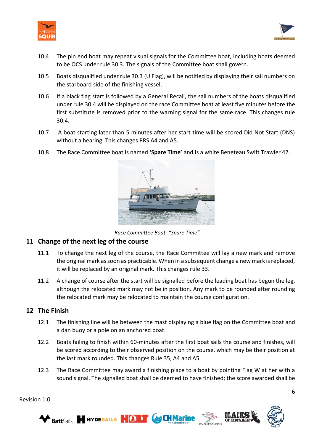



- 10.4 The pin end boat may repeat visual signals for the Committee boat, including boats deemed to be OCS under rule 30.3. The signals of the Committee boat shall govern.
- 10.5 Boats disqualified under rule 30.3 (U Flag), will be notified by displaying their sail numbers on the starboard side of the finishing vessel.
- 10.6 If a black flag start is followed by a General Recall, the sail numbers of the boats disqualified under rule 30.4 will be displayed on the race Committee boat at least five minutes before the first substitute is removed prior to the warning signal for the same race. This changes rule 30.4.
- 10.7 A boat starting later than 5 minutes after her start time will be scored Did Not Start (DNS) without a hearing. This changes RRS A4 and A5.
- 10.8 The Race Committee boat is named **'Spare Time'** and is a white Beneteau Swift Trawler 42.



*Race Committee Boat- "Spare Time"*

#### **11 Change of the next leg of the course**

- 11.1 To change the next leg of the course, the Race Committee will lay a new mark and remove the original mark as soon as practicable. When in a subsequent change a new mark is replaced, it will be replaced by an original mark. This changes rule 33.
- 11.2 A change of course after the start will be signalled before the leading boat has begun the leg, although the relocated mark may not be in position. Any mark to be rounded after rounding the relocated mark may be relocated to maintain the course configuration.

#### **12 The Finish**

- 12.1 The finishing line will be between the mast displaying a blue flag on the Committee boat and a dan buoy or a pole on an anchored boat.
- 12.2 Boats failing to finish within 60-minutes after the first boat sails the course and finishes, will be scored according to their observed position on the course, which may be their position at the last mark rounded. This changes Rule 35, A4 and A5.
- 12.3 The Race Committee may award a finishing place to a boat by pointing Flag W at her with a sound signal. The signalled boat shall be deemed to have finished; the score awarded shall be

Revision 1.0



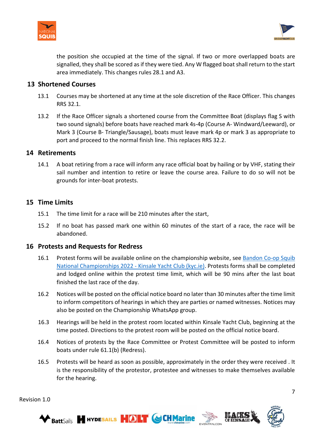



the position she occupied at the time of the signal. If two or more overlapped boats are signalled, they shall be scored as if they were tied. Any W flagged boat shall return to the start area immediately. This changes rules 28.1 and A3.

#### **13 Shortened Courses**

- 13.1 Courses may be shortened at any time at the sole discretion of the Race Officer. This changes RRS 32.1.
- 13.2 If the Race Officer signals a shortened course from the Committee Boat (displays flag S with two sound signals) before boats have reached mark 4s-4p (Course A- Windward/Leeward), or Mark 3 (Course B- Triangle/Sausage), boats must leave mark 4p or mark 3 as appropriate to port and proceed to the normal finish line. This replaces RRS 32.2.

#### **14 Retirements**

14.1 A boat retiring from a race will inform any race official boat by hailing or by VHF, stating their sail number and intention to retire or leave the course area. Failure to do so will not be grounds for inter-boat protests.

#### **15 Time Limits**

- 15.1 The time limit for a race will be 210 minutes after the start,
- 15.2 If no boat has passed mark one within 60 minutes of the start of a race, the race will be abandoned.

#### **16 Protests and Requests for Redress**

- 16.1 Protest forms will be available online on the championship website, see [Bandon Co-op Squib](https://www.kyc.ie/squibnationals2022/)  [National Championships 2022 -](https://www.kyc.ie/squibnationals2022/) Kinsale Yacht Club (kyc.ie). Protests forms shall be completed and lodged online within the protest time limit, which will be 90 mins after the last boat finished the last race of the day.
- 16.2 Notices will be posted on the official notice board no later than 30 minutes after the time limit to inform competitors of hearings in which they are parties or named witnesses. Notices may also be posted on the Championship WhatsApp group.
- 16.3 Hearings will be held in the protest room located within Kinsale Yacht Club, beginning at the time posted. Directions to the protest room will be posted on the official notice board.
- 16.4 Notices of protests by the Race Committee or Protest Committee will be posted to inform boats under rule 61.1(b) (Redress).
- 16.5 Protests will be heard as soon as possible, approximately in the order they were received . It is the responsibility of the protestor, protestee and witnesses to make themselves available for the hearing.





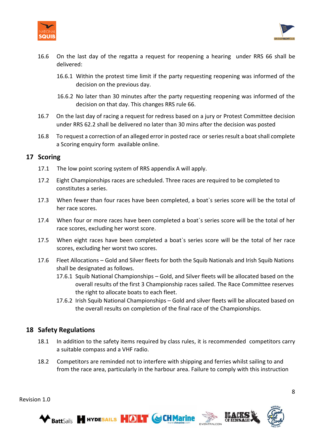



- 16.6 On the last day of the regatta a request for reopening a hearing under RRS 66 shall be delivered:
	- 16.6.1 Within the protest time limit if the party requesting reopening was informed of the decision on the previous day.
	- 16.6.2 No later than 30 minutes after the party requesting reopening was informed of the decision on that day. This changes RRS rule 66.
- 16.7 On the last day of racing a request for redress based on a jury or Protest Committee decision under RRS 62.2 shall be delivered no later than 30 mins after the decision was posted
- 16.8 To request a correction of an alleged error in posted race or series result a boat shall complete a Scoring enquiry form available online.

#### **17 Scoring**

- 17.1 The low point scoring system of RRS appendix A will apply.
- 17.2 Eight Championships races are scheduled. Three races are required to be completed to constitutes a series.
- 17.3 When fewer than four races have been completed, a boat`s series score will be the total of her race scores.
- 17.4 When four or more races have been completed a boat`s series score will be the total of her race scores, excluding her worst score.
- 17.5 When eight races have been completed a boat`s series score will be the total of her race scores, excluding her worst two scores.
- 17.6 Fleet Allocations Gold and Silver fleets for both the Squib Nationals and Irish Squib Nations shall be designated as follows.
	- 17.6.1 Squib National Championships Gold, and Silver fleets will be allocated based on the overall results of the first 3 Championship races sailed. The Race Committee reserves the right to allocate boats to each fleet.
	- 17.6.2 Irish Squib National Championships Gold and silver fleets will be allocated based on the overall results on completion of the final race of the Championships.

#### **18 Safety Regulations**

- 18.1 In addition to the safety items required by class rules, it is recommended competitors carry a suitable compass and a VHF radio.
- 18.2 Competitors are reminded not to interfere with shipping and ferries whilst sailing to and from the race area, particularly in the harbour area. Failure to comply with this instruction







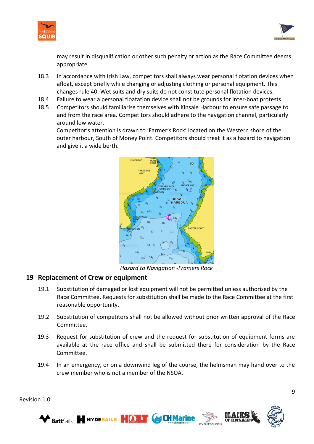



may result in disqualification or other such penalty or action as the Race Committee deems appropriate.

- 18.3 In accordance with Irish Law, competitors shall always wear personal flotation devices when afloat, except briefly while changing or adjusting clothing or personal equipment. This changes rule 40. Wet suits and dry suits do not constitute personal flotation devices.
- 18.4 Failure to wear a personal floatation device shall not be grounds for inter-boat protests.
- 18.5 Competitors should familiarise themselves with Kinsale Harbour to ensure safe passage to and from the race area. Competitors should adhere to the navigation channel, particularly around low water.

Competitor's attention is drawn to 'Farmer's Rock' located on the Western shore of the outer harbour, South of Money Point. Competitors should treat it as a hazard to navigation and give it a wide berth.



*Hazard to Navigation -Framers Rock*

#### **19 Replacement of Crew or equipment**

- 19.1 Substitution of damaged or lost equipment will not be permitted unless authorised by the Race Committee. Requests for substitution shall be made to the Race Committee at the first reasonable opportunity.
- 19.2 Substitution of competitors shall not be allowed without prior written approval of the Race Committee.
- 19.3 Request for substitution of crew and the request for substitution of equipment forms are available at the race office and shall be submitted there for consideration by the Race Committee.
- 19.4 In an emergency, or on a downwind leg of the course, the helmsman may hand over to the crew member who is not a member of the NSOA.

9





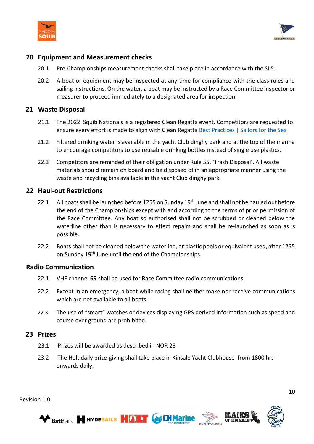



#### **20 Equipment and Measurement checks**

- 20.1 Pre-Championships measurement checks shall take place in accordance with the SI 5.
- 20.2 A boat or equipment may be inspected at any time for compliance with the class rules and sailing instructions. On the water, a boat may be instructed by a Race Committee inspector or measurer to proceed immediately to a designated area for inspection.

#### **21 Waste Disposal**

- 21.1 The 2022 Squib Nationals is a registered Clean Regatta event. Competitors are requested to ensure every effort is made to align with Clean Regatta [Best Practices | Sailors for the Sea](https://www.sailorsforthesea.org/programs/clean-regattas/best-practices)
- 21.2 Filtered drinking water is available in the yacht Club dinghy park and at the top of the marina to encourage competitors to use reusable drinking bottles instead of single use plastics.
- 22.3 Competitors are reminded of their obligation under Rule 55, 'Trash Disposal'. All waste materials should remain on board and be disposed of in an appropriate manner using the waste and recycling bins available in the yacht Club dinghy park.

#### **22 Haul-out Restrictions**

- 22.1 All boats shall be launched before 1255 on Sunday 19<sup>th</sup> June and shall not be hauled out before the end of the Championships except with and according to the terms of prior permission of the Race Committee. Any boat so authorised shall not be scrubbed or cleaned below the waterline other than is necessary to effect repairs and shall be re-launched as soon as is possible.
- 22.2 Boats shall not be cleaned below the waterline, or plastic pools or equivalent used, after 1255 on Sunday 19<sup>th</sup> June until the end of the Championships.

#### **Radio Communication**

- 22.1 VHF channel **69** shall be used for Race Committee radio communications.
- 22.2 Except in an emergency, a boat while racing shall neither make nor receive communications which are not available to all boats.
- 22.3 The use of "smart" watches or devices displaying GPS derived information such as speed and course over ground are prohibited.

#### **23 Prizes**

- 23.1 Prizes will be awarded as described in NOR 23
- 23.2 The Holt daily prize-giving shall take place in Kinsale Yacht Clubhouse from 1800 hrs onwards daily.





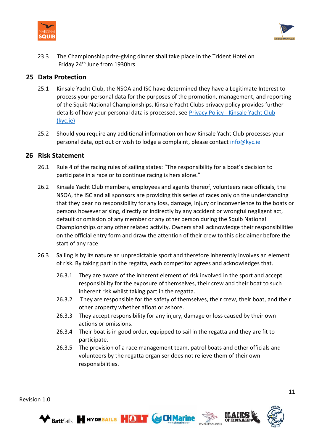



23.3 The Championship prize-giving dinner shall take place in the Trident Hotel on Friday 24th June from 1930hrs

#### **25 Data Protection**

- 25.1 Kinsale Yacht Club, the NSOA and ISC have determined they have a Legitimate Interest to process your personal data for the purposes of the promotion, management, and reporting of the Squib National Championships. Kinsale Yacht Clubs privacy policy provides further details of how your personal data is processed, see Privacy Policy - [Kinsale Yacht Club](https://www.kyc.ie/privacy-policy/)  [\(kyc.ie\)](https://www.kyc.ie/privacy-policy/)
- 25.2 Should you require any additional information on how Kinsale Yacht Club processes your personal data, opt out or wish to lodge a complaint, please contact [info@kyc.ie](mailto:info@kyc.ie)

#### **26 Risk Statement**

- 26.1 Rule 4 of the racing rules of sailing states: "The responsibility for a boat's decision to participate in a race or to continue racing is hers alone."
- 26.2 Kinsale Yacht Club members, employees and agents thereof, volunteers race officials, the NSOA, the ISC and all sponsors are providing this series of races only on the understanding that they bear no responsibility for any loss, damage, injury or inconvenience to the boats or persons however arising, directly or indirectly by any accident or wrongful negligent act, default or omission of any member or any other person during the Squib National Championships or any other related activity. Owners shall acknowledge their responsibilities on the official entry form and draw the attention of their crew to this disclaimer before the start of any race
- 26.3 Sailing is by its nature an unpredictable sport and therefore inherently involves an element of risk. By taking part in the regatta, each competitor agrees and acknowledges that.
	- 26.3.1 They are aware of the inherent element of risk involved in the sport and accept responsibility for the exposure of themselves, their crew and their boat to such inherent risk whilst taking part in the regatta.
	- 26.3.2 They are responsible for the safety of themselves, their crew, their boat, and their other property whether afloat or ashore.
	- 26.3.3 They accept responsibility for any injury, damage or loss caused by their own actions or omissions.
	- 26.3.4 Their boat is in good order, equipped to sail in the regatta and they are fit to participate.
	- 26.3.5 The provision of a race management team, patrol boats and other officials and volunteers by the regatta organiser does not relieve them of their own responsibilities.



11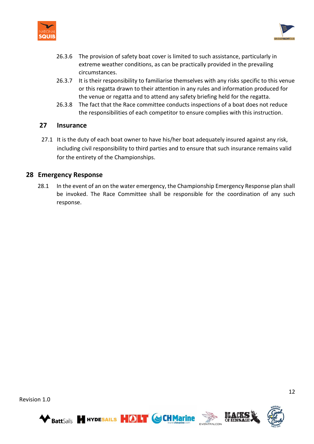



- 26.3.6 The provision of safety boat cover is limited to such assistance, particularly in extreme weather conditions, as can be practically provided in the prevailing circumstances.
- 26.3.7 It is their responsibility to familiarise themselves with any risks specific to this venue or this regatta drawn to their attention in any rules and information produced for the venue or regatta and to attend any safety briefing held for the regatta.
- 26.3.8 The fact that the Race committee conducts inspections of a boat does not reduce the responsibilities of each competitor to ensure complies with this instruction.

#### **27 Insurance**

27.1 It is the duty of each boat owner to have his/her boat adequately insured against any risk, including civil responsibility to third parties and to ensure that such insurance remains valid for the entirety of the Championships.

#### **28 Emergency Response**

28.1 In the event of an on the water emergency, the Championship Emergency Response plan shall be invoked. The Race Committee shall be responsible for the coordination of any such response.







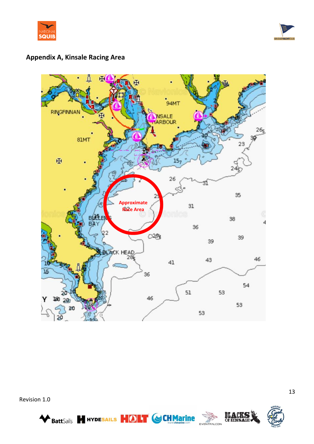



### **Appendix A, Kinsale Racing Area**



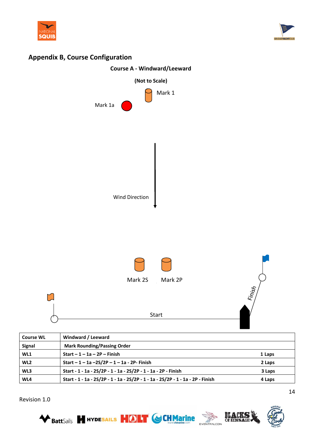



### **Appendix B, Course Configuration**



| <b>Course WL</b> | Windward / Leeward                                                              |        |
|------------------|---------------------------------------------------------------------------------|--------|
| <b>Signal</b>    | <b>Mark Rounding/Passing Order</b>                                              |        |
| WL1              | Start $-1 - 1a - 2P$ – Finish                                                   | 1 Laps |
| WL <sub>2</sub>  | Start $-1 - 1a - 2S/2P - 1 - 1a - 2P$ - Finish                                  | 2 Laps |
| WL3              | Start - 1 - 1a - 2S/2P - 1 - 1a - 2S/2P - 1 - 1a - 2P - Finish                  | 3 Laps |
| WL4              | Start - 1 - 1a - 2S/2P - 1 - 1a - 2S/2P - 1 - 1a - 2S/2P - 1 - 1a - 2P - Finish | 4 Laps |

Revision 1.0